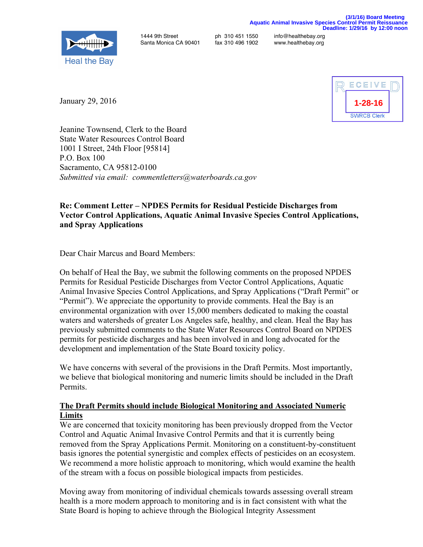

Santa Monica CA 90401

1444 9th Street ph 310 451 1550 info@healthebay.org

January 29, 2016



Jeanine Townsend, Clerk to the Board State Water Resources Control Board 1001 I Street, 24th Floor [95814] P.O. Box 100 Sacramento, CA 95812-0100 *Submitted via email: commentletters@waterboards.ca.gov*

## **Re: Comment Letter – NPDES Permits for Residual Pesticide Discharges from Vector Control Applications, Aquatic Animal Invasive Species Control Applications, and Spray Applications**

Dear Chair Marcus and Board Members:

On behalf of Heal the Bay, we submit the following comments on the proposed NPDES Permits for Residual Pesticide Discharges from Vector Control Applications, Aquatic Animal Invasive Species Control Applications, and Spray Applications ("Draft Permit" or "Permit"). We appreciate the opportunity to provide comments. Heal the Bay is an environmental organization with over 15,000 members dedicated to making the coastal waters and watersheds of greater Los Angeles safe, healthy, and clean. Heal the Bay has previously submitted comments to the State Water Resources Control Board on NPDES permits for pesticide discharges and has been involved in and long advocated for the development and implementation of the State Board toxicity policy.

We have concerns with several of the provisions in the Draft Permits. Most importantly, we believe that biological monitoring and numeric limits should be included in the Draft Permits.

## **The Draft Permits should include Biological Monitoring and Associated Numeric Limits**

We are concerned that toxicity monitoring has been previously dropped from the Vector Control and Aquatic Animal Invasive Control Permits and that it is currently being removed from the Spray Applications Permit. Monitoring on a constituent-by-constituent basis ignores the potential synergistic and complex effects of pesticides on an ecosystem. We recommend a more holistic approach to monitoring, which would examine the health of the stream with a focus on possible biological impacts from pesticides.

Moving away from monitoring of individual chemicals towards assessing overall stream health is a more modern approach to monitoring and is in fact consistent with what the State Board is hoping to achieve through the Biological Integrity Assessment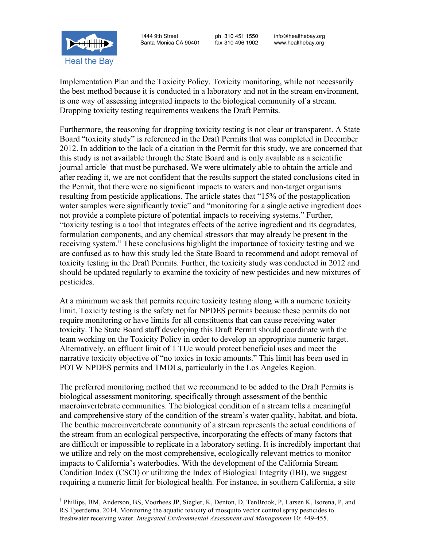1444 9th Street ph 310 451 1550 info@healthebay.org Santa Monica CA 90401

**Heal the Bay** 



Furthermore, the reasoning for dropping toxicity testing is not clear or transparent. A State Board "toxicity study" is referenced in the Draft Permits that was completed in December 2012. In addition to the lack of a citation in the Permit for this study, we are concerned that this study is not available through the State Board and is only available as a scientific journal article<sup>1</sup> that must be purchased. We were ultimately able to obtain the article and after reading it, we are not confident that the results support the stated conclusions cited in the Permit, that there were no significant impacts to waters and non-target organisms resulting from pesticide applications. The article states that "15% of the postapplication water samples were significantly toxic" and "monitoring for a single active ingredient does not provide a complete picture of potential impacts to receiving systems." Further, "toxicity testing is a tool that integrates effects of the active ingredient and its degradates, formulation components, and any chemical stressors that may already be present in the receiving system." These conclusions highlight the importance of toxicity testing and we are confused as to how this study led the State Board to recommend and adopt removal of toxicity testing in the Draft Permits. Further, the toxicity study was conducted in 2012 and should be updated regularly to examine the toxicity of new pesticides and new mixtures of pesticides.

At a minimum we ask that permits require toxicity testing along with a numeric toxicity limit. Toxicity testing is the safety net for NPDES permits because these permits do not require monitoring or have limits for all constituents that can cause receiving water toxicity. The State Board staff developing this Draft Permit should coordinate with the team working on the Toxicity Policy in order to develop an appropriate numeric target. Alternatively, an effluent limit of 1 TUc would protect beneficial uses and meet the narrative toxicity objective of "no toxics in toxic amounts." This limit has been used in POTW NPDES permits and TMDLs, particularly in the Los Angeles Region.

The preferred monitoring method that we recommend to be added to the Draft Permits is biological assessment monitoring, specifically through assessment of the benthic macroinvertebrate communities. The biological condition of a stream tells a meaningful and comprehensive story of the condition of the stream's water quality, habitat, and biota. The benthic macroinvertebrate community of a stream represents the actual conditions of the stream from an ecological perspective, incorporating the effects of many factors that are difficult or impossible to replicate in a laboratory setting. It is incredibly important that we utilize and rely on the most comprehensive, ecologically relevant metrics to monitor impacts to California's waterbodies. With the development of the California Stream Condition Index (CSCI) or utilizing the Index of Biological Integrity (IBI), we suggest requiring a numeric limit for biological health. For instance, in southern California, a site

<sup>&</sup>lt;sup>1</sup> Phillips, BM, Anderson, BS, Voorhees JP, Siegler, K, Denton, D, TenBrook, P, Larsen K, Isorena, P, and RS Tjeerdema. 2014. Monitoring the aquatic toxicity of mosquito vector control spray pesticides to freshwater receiving water. *Integrated Environmental Assessment and Management* 10: 449-455.